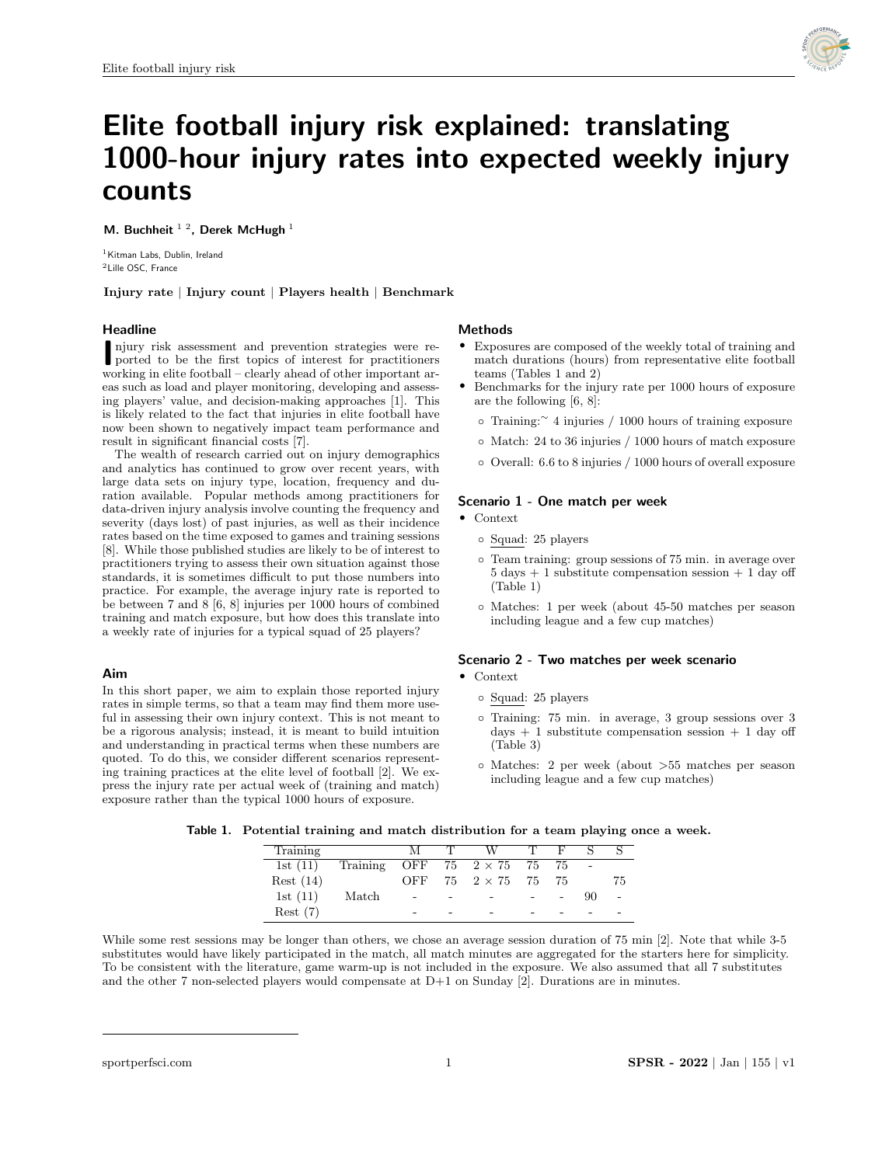

# Elite football injury risk explained: translating 1000-hour injury rates into expected weekly injury counts

M. Buchheit  $^{1/2}$ . Derek McHugh  $^{1}$ 

<sup>1</sup> Kitman Labs, Dublin, Ireland <sup>2</sup>Lille OSC, France

Injury rate | Injury count | Players health | Benchmark

## Headline

njury risk assessment and prevention strategies were reported to be the first topics of interest for practitioners njury risk assessment and prevention strategies were reworking in elite football – clearly ahead of other important areas such as load and player monitoring, developing and assessing players' value, and decision-making approaches [1]. This is likely related to the fact that injuries in elite football have now been shown to negatively impact team performance and result in significant financial costs [7].

The wealth of research carried out on injury demographics and analytics has continued to grow over recent years, with large data sets on injury type, location, frequency and duration available. Popular methods among practitioners for data-driven injury analysis involve counting the frequency and severity (days lost) of past injuries, as well as their incidence rates based on the time exposed to games and training sessions [8]. While those published studies are likely to be of interest to practitioners trying to assess their own situation against those standards, it is sometimes difficult to put those numbers into practice. For example, the average injury rate is reported to be between 7 and 8 [6, 8] injuries per 1000 hours of combined training and match exposure, but how does this translate into a weekly rate of injuries for a typical squad of 25 players?

## Aim

In this short paper, we aim to explain those reported injury rates in simple terms, so that a team may find them more useful in assessing their own injury context. This is not meant to be a rigorous analysis; instead, it is meant to build intuition and understanding in practical terms when these numbers are quoted. To do this, we consider different scenarios representing training practices at the elite level of football [2]. We express the injury rate per actual week of (training and match) exposure rather than the typical 1000 hours of exposure.

## **Methods**

- Exposures are composed of the weekly total of training and match durations (hours) from representative elite football teams (Tables 1 and 2)
- Benchmarks for the injury rate per 1000 hours of exposure are the following [6, 8]:
	- Training:<sup>∼</sup> 4 injuries / 1000 hours of training exposure
	- Match: 24 to 36 injuries / 1000 hours of match exposure
	- Overall: 6.6 to 8 injuries / 1000 hours of overall exposure

# Scenario 1 - One match per week

- Context
	- Squad: 25 players
	- Team training: group sessions of 75 min. in average over  $5 \text{ days} + 1 \text{ substitute compensation session} + 1 \text{ day off}$ (Table 1)
	- Matches: 1 per week (about 45-50 matches per season including league and a few cup matches)

#### Scenario 2 - Two matches per week scenario • Context

- Squad: 25 players
- Training: 75 min. in average, 3 group sessions over 3 days  $+1$  substitute compensation session  $+1$  day off (Table 3)
- Matches: 2 per week (about >55 matches per season including league and a few cup matches)

|  | Table 1. Potential training and match distribution for a team playing once a week. |  |  |  |
|--|------------------------------------------------------------------------------------|--|--|--|
|--|------------------------------------------------------------------------------------|--|--|--|

| Training   |          | М              |   | W                                        | T. | - F | - S -  |    |
|------------|----------|----------------|---|------------------------------------------|----|-----|--------|----|
| 1st $(11)$ | Training |                |   | OFF 75 $2 \times 75$ 75 75               |    |     | $\sim$ |    |
| Rest(14)   |          | OFF            |   | $75 \quad 2 \times 75 \quad 75 \quad 75$ |    |     |        | 75 |
| 1st $(11)$ | Match    | $\blacksquare$ | - |                                          |    |     | 90     |    |
| Rest(7)    |          |                |   |                                          |    |     |        |    |

While some rest sessions may be longer than others, we chose an average session duration of 75 min [2]. Note that while 3-5 substitutes would have likely participated in the match, all match minutes are aggregated for the starters here for simplicity. To be consistent with the literature, game warm-up is not included in the exposure. We also assumed that all 7 substitutes and the other 7 non-selected players would compensate at D+1 on Sunday [2]. Durations are in minutes.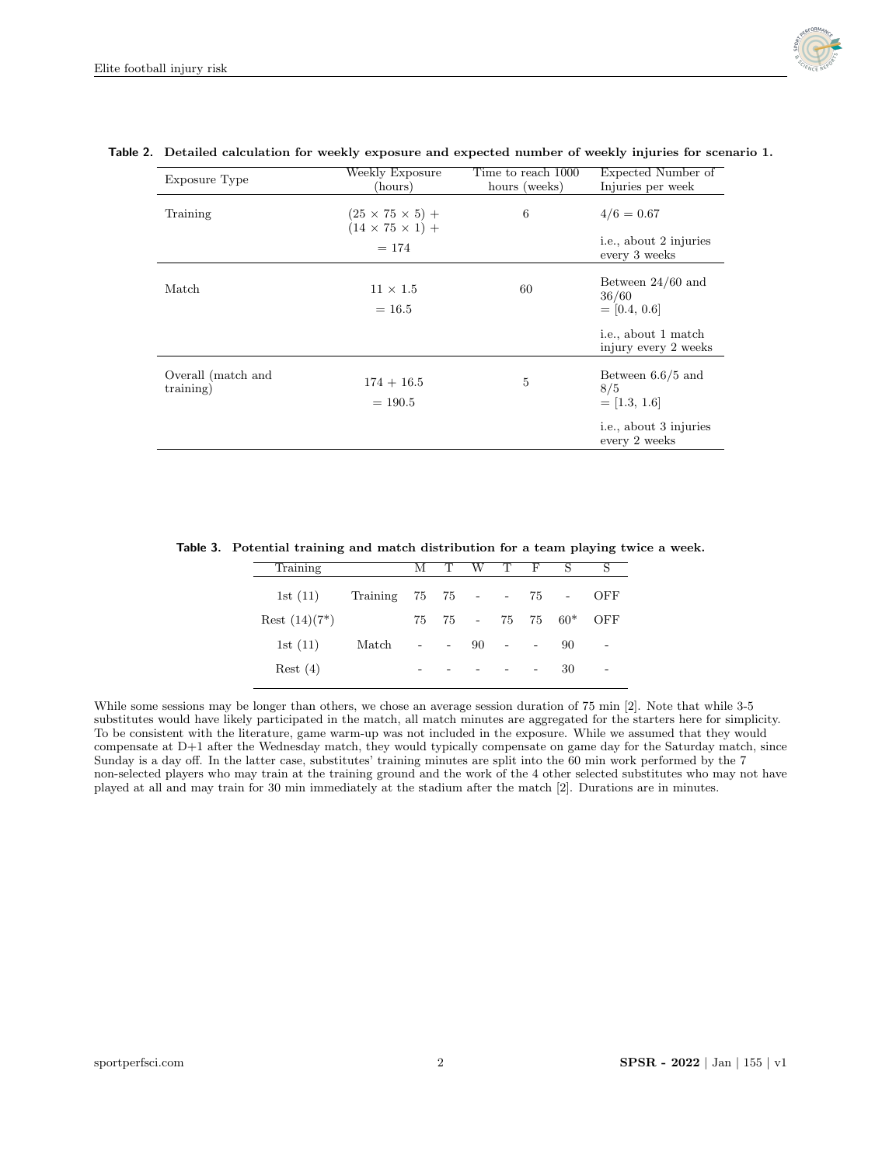

| Exposure Type                   | Weekly Exposure<br>(hours)                                 | Time to reach 1000<br>hours (weeks) | Expected Number of<br>Injuries per week         |
|---------------------------------|------------------------------------------------------------|-------------------------------------|-------------------------------------------------|
| Training                        | $(25 \times 75 \times 5) +$<br>$(14 \times 75 \times 1) +$ | 6                                   | $4/6 = 0.67$                                    |
|                                 | $= 174$                                                    |                                     | i.e., about 2 injuries<br>every 3 weeks         |
| Match                           | $11 \times 1.5$<br>$= 16.5$                                | 60                                  | Between $24/60$ and<br>36/60<br>$=$ [0.4, 0.6]  |
|                                 |                                                            |                                     | i.e., about 1 match<br>injury every 2 weeks     |
| Overall (match and<br>training) | $174 + 16.5$<br>$= 190.5$                                  | 5                                   | Between $6.6/5$ and<br>8/5<br>$=[1.3, 1.6]$     |
|                                 |                                                            |                                     | <i>i.e.</i> , about 3 injuries<br>every 2 weeks |

# Table 2. Detailed calculation for weekly exposure and expected number of weekly injuries for scenario 1.

Table 3. Potential training and match distribution for a team playing twice a week.

 $\overline{ }$ 

| Training         |                             | М                        | $\top$                                                          | W T F |          |                          | S                    | S                        |  |
|------------------|-----------------------------|--------------------------|-----------------------------------------------------------------|-------|----------|--------------------------|----------------------|--------------------------|--|
| 1st $(11)$       | Training 75 75 - - 75 - OFF |                          |                                                                 |       |          |                          |                      |                          |  |
| Rest $(14)(7^*)$ |                             | 75                       |                                                                 |       |          |                          | $75 - 75$ $75$ $60*$ | OFF                      |  |
| 1st $(11)$       | Match                       | $\overline{\phantom{a}}$ | $\alpha$ , $\alpha$ , $\alpha$ , $\alpha$ , $\alpha$ , $\alpha$ |       | $90 - -$ |                          | 90                   | $\overline{\phantom{m}}$ |  |
| Rest(4)          |                             | $\overline{\phantom{0}}$ |                                                                 |       |          | $\overline{\phantom{a}}$ | 30                   | $\overline{\phantom{a}}$ |  |
|                  |                             |                          |                                                                 |       |          |                          |                      |                          |  |

While some sessions may be longer than others, we chose an average session duration of 75 min [2]. Note that while 3-5 substitutes would have likely participated in the match, all match minutes are aggregated for the starters here for simplicity. To be consistent with the literature, game warm-up was not included in the exposure. While we assumed that they would compensate at D+1 after the Wednesday match, they would typically compensate on game day for the Saturday match, since Sunday is a day off. In the latter case, substitutes' training minutes are split into the 60 min work performed by the 7 non-selected players who may train at the training ground and the work of the 4 other selected substitutes who may not have played at all and may train for 30 min immediately at the stadium after the match [2]. Durations are in minutes.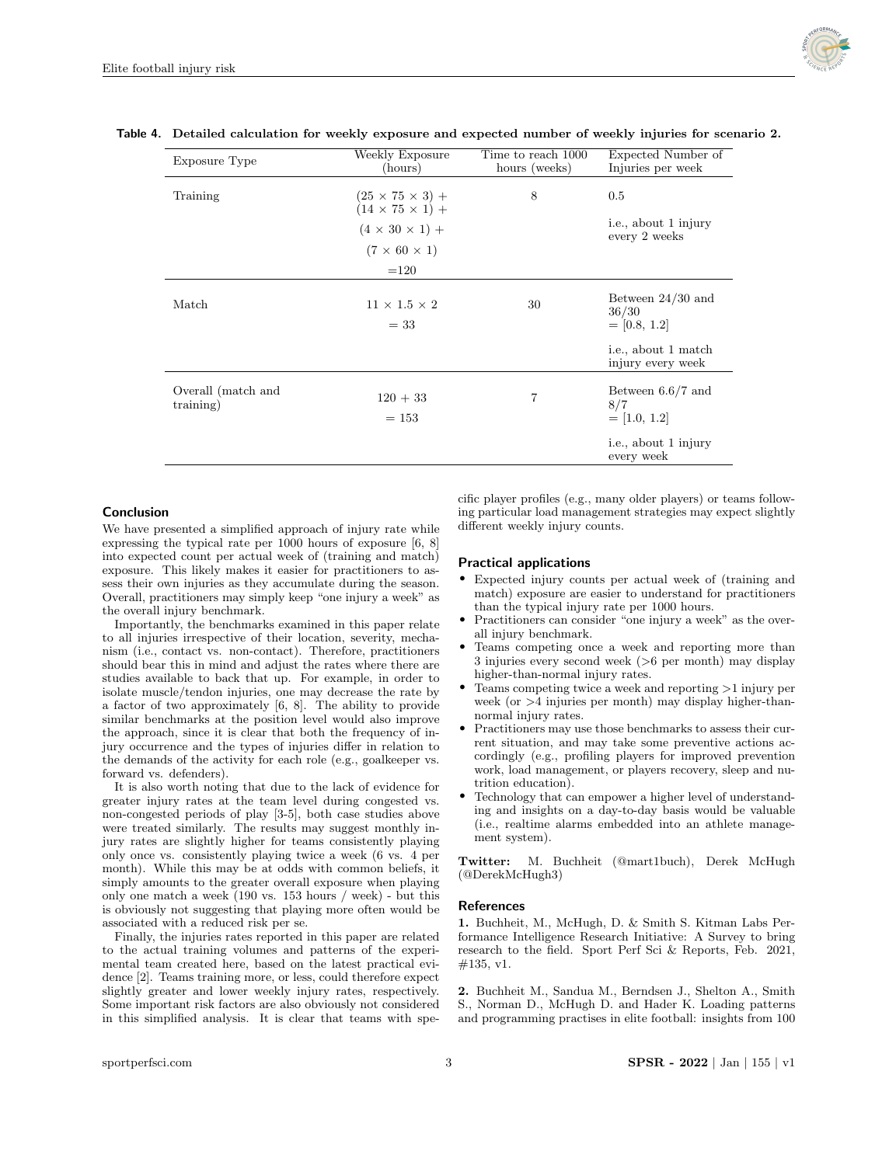

| Exposure Type                   | Weekly Exposure<br>(hours)                                 | Time to reach 1000<br>hours (weeks) | Expected Number of<br>Injuries per week        |
|---------------------------------|------------------------------------------------------------|-------------------------------------|------------------------------------------------|
| Training                        | $(25 \times 75 \times 3) +$<br>$(14 \times 75 \times 1) +$ | 8                                   | 0.5<br>i.e., about 1 injury                    |
|                                 | $(4 \times 30 \times 1) +$<br>$(7 \times 60 \times 1)$     |                                     | every 2 weeks                                  |
|                                 | $=120$                                                     |                                     |                                                |
| Match                           | $11 \times 1.5 \times 2$<br>$=$ 33                         | 30                                  | Between $24/30$ and<br>36/30<br>$=$ [0.8, 1.2] |
|                                 |                                                            |                                     | i.e., about 1 match<br>injury every week       |
| Overall (match and<br>training) | $120 + 33$<br>$= 153$                                      | 7                                   | Between $6.6/7$ and<br>8/7<br>$=[1.0, 1.2]$    |
|                                 |                                                            |                                     | i.e., about 1 injury<br>every week             |

#### Table 4. Detailed calculation for weekly exposure and expected number of weekly injuries for scenario 2.

## Conclusion

We have presented a simplified approach of injury rate while expressing the typical rate per 1000 hours of exposure [6, 8] into expected count per actual week of (training and match) exposure. This likely makes it easier for practitioners to assess their own injuries as they accumulate during the season. Overall, practitioners may simply keep "one injury a week" as the overall injury benchmark.

Importantly, the benchmarks examined in this paper relate to all injuries irrespective of their location, severity, mechanism (i.e., contact vs. non-contact). Therefore, practitioners should bear this in mind and adjust the rates where there are studies available to back that up. For example, in order to isolate muscle/tendon injuries, one may decrease the rate by a factor of two approximately [6, 8]. The ability to provide similar benchmarks at the position level would also improve the approach, since it is clear that both the frequency of injury occurrence and the types of injuries differ in relation to the demands of the activity for each role (e.g., goalkeeper vs. forward vs. defenders).

It is also worth noting that due to the lack of evidence for greater injury rates at the team level during congested vs. non-congested periods of play [3-5], both case studies above were treated similarly. The results may suggest monthly injury rates are slightly higher for teams consistently playing only once vs. consistently playing twice a week (6 vs. 4 per month). While this may be at odds with common beliefs, it simply amounts to the greater overall exposure when playing only one match a week (190 vs. 153 hours / week) - but this is obviously not suggesting that playing more often would be associated with a reduced risk per se.

Finally, the injuries rates reported in this paper are related to the actual training volumes and patterns of the experimental team created here, based on the latest practical evidence [2]. Teams training more, or less, could therefore expect slightly greater and lower weekly injury rates, respectively. Some important risk factors are also obviously not considered in this simplified analysis. It is clear that teams with specific player profiles (e.g., many older players) or teams following particular load management strategies may expect slightly different weekly injury counts.

#### Practical applications

- Expected injury counts per actual week of (training and match) exposure are easier to understand for practitioners than the typical injury rate per 1000 hours.
- Practitioners can consider "one injury a week" as the overall injury benchmark.
- Teams competing once a week and reporting more than 3 injuries every second week (>6 per month) may display higher-than-normal injury rates.
- Teams competing twice a week and reporting >1 injury per week (or >4 injuries per month) may display higher-thannormal injury rates.
- Practitioners may use those benchmarks to assess their current situation, and may take some preventive actions accordingly (e.g., profiling players for improved prevention work, load management, or players recovery, sleep and nutrition education).
- Technology that can empower a higher level of understanding and insights on a day-to-day basis would be valuable (i.e., realtime alarms embedded into an athlete management system).

Twitter: M. Buchheit (@mart1buch), Derek McHugh (@DerekMcHugh3)

#### References

1. Buchheit, M., McHugh, D. & Smith S. Kitman Labs Performance Intelligence Research Initiative: A Survey to bring research to the field. Sport Perf Sci & Reports, Feb. 2021, #135, v1.

2. Buchheit M., Sandua M., Berndsen J., Shelton A., Smith S., Norman D., McHugh D. and Hader K. Loading patterns and programming practises in elite football: insights from 100